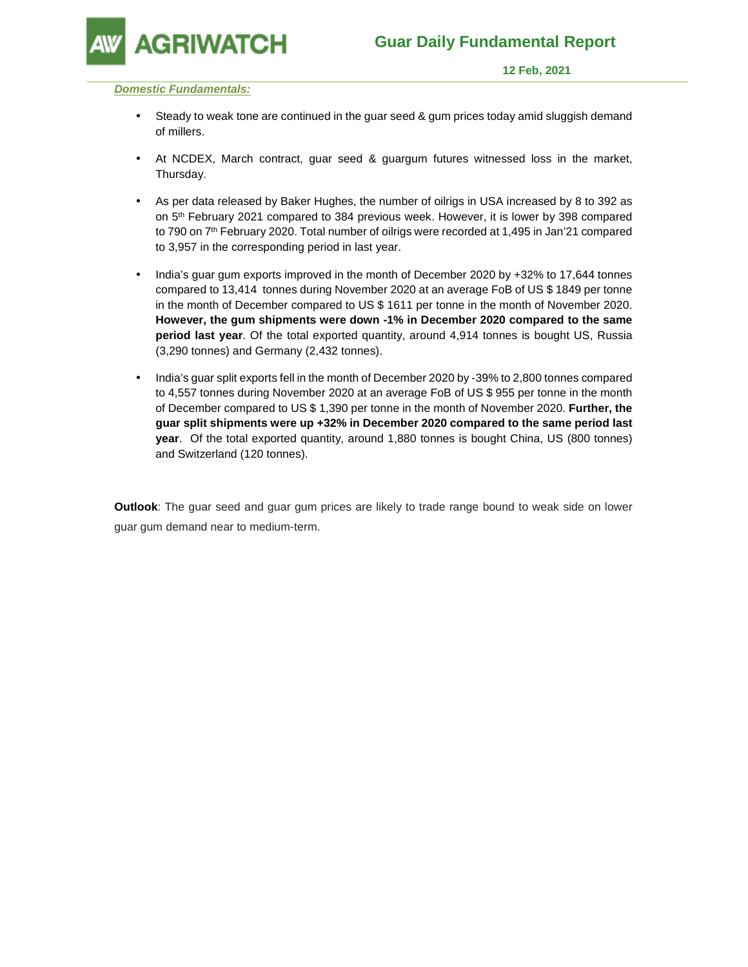

 **12 Feb, 2021** 

### **Domestic Fundamentals:**

- Steady to weak tone are continued in the guar seed & gum prices today amid sluggish demand of millers.
- At NCDEX, March contract, guar seed & guargum futures witnessed loss in the market, Thursday.
- As per data released by Baker Hughes, the number of oilrigs in USA increased by 8 to 392 as on 5th February 2021 compared to 384 previous week. However, it is lower by 398 compared to 790 on 7<sup>th</sup> February 2020. Total number of oilrigs were recorded at 1,495 in Jan'21 compared to 3,957 in the corresponding period in last year.
- India's guar gum exports improved in the month of December 2020 by +32% to 17,644 tonnes compared to 13,414 tonnes during November 2020 at an average FoB of US \$ 1849 per tonne in the month of December compared to US \$ 1611 per tonne in the month of November 2020. **However, the gum shipments were down -1% in December 2020 compared to the same period last year**. Of the total exported quantity, around 4,914 tonnes is bought US, Russia (3,290 tonnes) and Germany (2,432 tonnes).
- India's guar split exports fell in the month of December 2020 by -39% to 2,800 tonnes compared to 4,557 tonnes during November 2020 at an average FoB of US \$ 955 per tonne in the month of December compared to US \$ 1,390 per tonne in the month of November 2020. **Further, the guar split shipments were up +32% in December 2020 compared to the same period last year**. Of the total exported quantity, around 1,880 tonnes is bought China, US (800 tonnes) and Switzerland (120 tonnes).

**Outlook**: The guar seed and guar gum prices are likely to trade range bound to weak side on lower guar gum demand near to medium-term.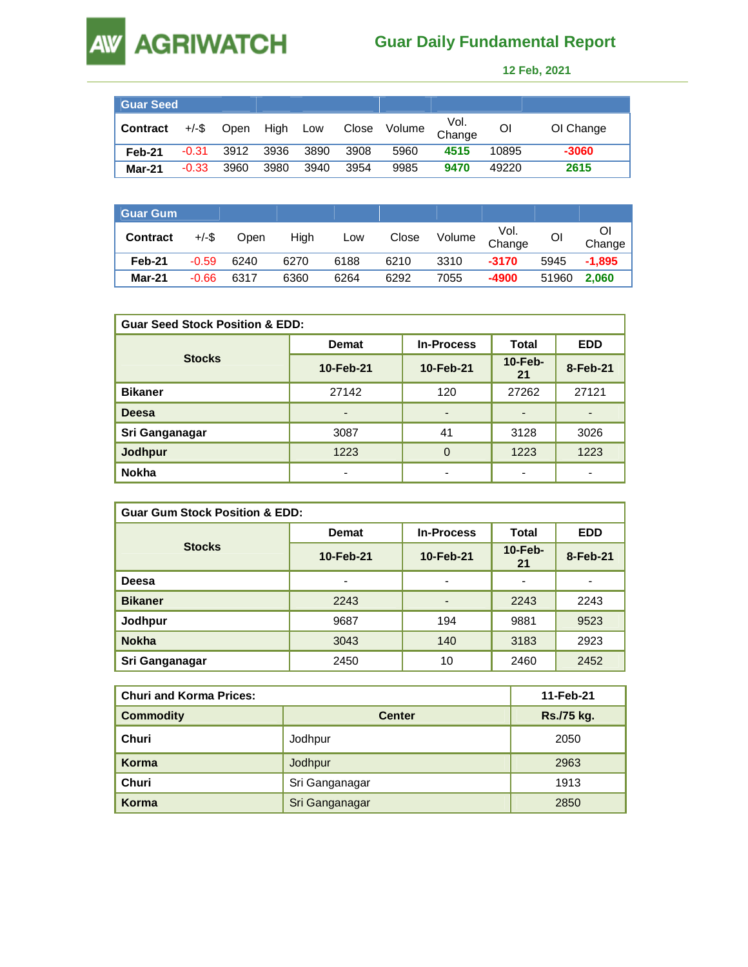### **AGRIWATCH Guar Daily Fundamental Report**

AW

 **12 Feb, 2021** 

| <b>Guar Seed</b> |          |      |          |      |       |        |                |       |           |
|------------------|----------|------|----------|------|-------|--------|----------------|-------|-----------|
| <b>Contract</b>  | $+/-$ \$ | Open | High Low |      | Close | Volume | Vol.<br>Change | Οl    | OI Change |
| Feb-21           | $-0.31$  | 3912 | 3936     | 3890 | 3908  | 5960   | 4515           | 10895 | $-3060$   |
| Mar-21           | $-0.33$  | 3960 | 3980     | 3940 | 3954  | 9985   | 9470           | 49220 | 2615      |

| <b>Guar Gum</b> |          |      |      |      |       |        |                |       |          |
|-----------------|----------|------|------|------|-------|--------|----------------|-------|----------|
| <b>Contract</b> | $+/-$ \$ | Open | High | Low  | Close | Volume | Vol.<br>Change | ΟI    | Change   |
| Feb-21          | $-0.59$  | 6240 | 6270 | 6188 | 6210  | 3310   | $-3170$        | 5945  | $-1.895$ |
| <b>Mar-21</b>   | $-0.66$  | 6317 | 6360 | 6264 | 6292  | 7055   | -4900          | 51960 | 2.060    |

| <b>Guar Seed Stock Position &amp; EDD:</b> |              |                   |                  |            |  |  |  |
|--------------------------------------------|--------------|-------------------|------------------|------------|--|--|--|
|                                            | <b>Demat</b> | <b>In-Process</b> |                  | <b>EDD</b> |  |  |  |
| <b>Stocks</b>                              | 10-Feb-21    | 10-Feb-21         | $10$ -Feb-<br>21 | 8-Feb-21   |  |  |  |
| <b>Bikaner</b>                             | 27142        | 120               | 27262            | 27121      |  |  |  |
| <b>Deesa</b>                               |              | ٠                 |                  |            |  |  |  |
| Sri Ganganagar                             | 3087         | 41                | 3128             | 3026       |  |  |  |
| <b>Jodhpur</b>                             | 1223         | $\Omega$          | 1223             | 1223       |  |  |  |
| <b>Nokha</b>                               |              | ٠                 |                  |            |  |  |  |

| <b>Guar Gum Stock Position &amp; EDD:</b> |                                   |                          |                          |            |  |  |  |
|-------------------------------------------|-----------------------------------|--------------------------|--------------------------|------------|--|--|--|
|                                           | <b>In-Process</b><br><b>Demat</b> |                          | Total                    | <b>EDD</b> |  |  |  |
| <b>Stocks</b>                             | 10-Feb-21                         | 10-Feb-21                | $10$ -Feb-<br>21         | 8-Feb-21   |  |  |  |
| Deesa                                     | $\blacksquare$                    | $\overline{\phantom{0}}$ | $\overline{\phantom{0}}$ |            |  |  |  |
| <b>Bikaner</b>                            | 2243                              | $\overline{a}$           | 2243                     | 2243       |  |  |  |
| Jodhpur                                   | 9687                              | 194                      | 9881                     | 9523       |  |  |  |
| <b>Nokha</b>                              | 3043                              | 140                      | 3183                     | 2923       |  |  |  |
| Sri Ganganagar                            | 2450                              | 10                       | 2460                     | 2452       |  |  |  |

| <b>Churi and Korma Prices:</b> |                | 11-Feb-21  |  |  |
|--------------------------------|----------------|------------|--|--|
| <b>Commodity</b>               | <b>Center</b>  | Rs./75 kg. |  |  |
| Churi                          | Jodhpur        | 2050       |  |  |
| Korma                          | Jodhpur        | 2963       |  |  |
| Churi                          | Sri Ganganagar | 1913       |  |  |
| Korma                          | Sri Ganganagar | 2850       |  |  |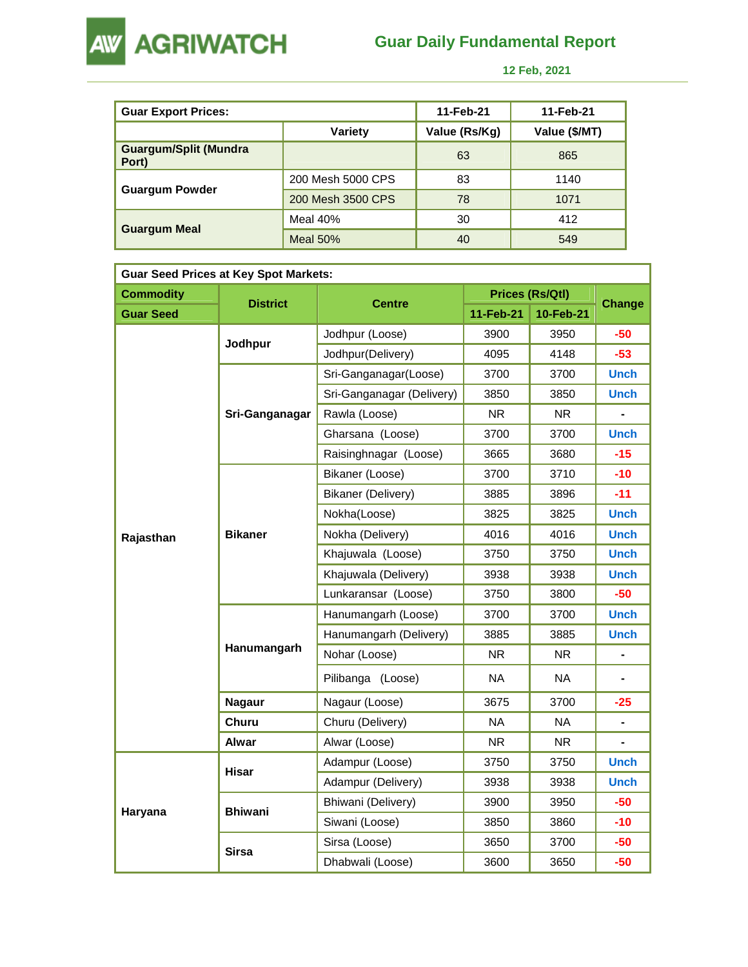

**AW AGRIWATCH** 

 **12 Feb, 2021** 

| <b>Guar Export Prices:</b>            |                   | 11-Feb-21     | 11-Feb-21     |
|---------------------------------------|-------------------|---------------|---------------|
|                                       | Variety           | Value (Rs/Kg) | Value (\$/MT) |
| <b>Guargum/Split (Mundra</b><br>Port) |                   | 63            | 865           |
|                                       | 200 Mesh 5000 CPS | 83            | 1140          |
| <b>Guargum Powder</b>                 | 200 Mesh 3500 CPS | 78            | 1071          |
|                                       | Meal $40\%$       | 30            | 412           |
| <b>Guargum Meal</b>                   | Meal $50%$        | 40            | 549           |

| <b>Guar Seed Prices at Key Spot Markets:</b> |                 |                           |           |                        |               |  |  |  |
|----------------------------------------------|-----------------|---------------------------|-----------|------------------------|---------------|--|--|--|
| <b>Commodity</b>                             | <b>District</b> |                           |           | <b>Prices (Rs/Qtl)</b> | <b>Change</b> |  |  |  |
| <b>Guar Seed</b>                             |                 | <b>Centre</b>             | 11-Feb-21 | 10-Feb-21              |               |  |  |  |
|                                              | Jodhpur         | Jodhpur (Loose)           | 3900      | 3950                   | $-50$         |  |  |  |
|                                              |                 | Jodhpur(Delivery)         | 4095      | 4148                   | $-53$         |  |  |  |
| Rajasthan                                    |                 | Sri-Ganganagar(Loose)     | 3700      | 3700                   | <b>Unch</b>   |  |  |  |
|                                              |                 | Sri-Ganganagar (Delivery) | 3850      | 3850                   | <b>Unch</b>   |  |  |  |
|                                              | Sri-Ganganagar  | Rawla (Loose)             | <b>NR</b> | <b>NR</b>              |               |  |  |  |
|                                              |                 | Gharsana (Loose)          | 3700      | 3700                   | <b>Unch</b>   |  |  |  |
|                                              |                 | Raisinghnagar (Loose)     | 3665      | 3680                   | $-15$         |  |  |  |
|                                              |                 | Bikaner (Loose)           | 3700      | 3710                   | $-10$         |  |  |  |
|                                              |                 | <b>Bikaner (Delivery)</b> | 3885      | 3896                   | $-11$         |  |  |  |
|                                              | <b>Bikaner</b>  | Nokha(Loose)              | 3825      | 3825                   | <b>Unch</b>   |  |  |  |
|                                              |                 | Nokha (Delivery)          | 4016      | 4016                   | <b>Unch</b>   |  |  |  |
|                                              |                 | Khajuwala (Loose)         | 3750      | 3750                   | <b>Unch</b>   |  |  |  |
|                                              |                 | Khajuwala (Delivery)      | 3938      | 3938                   | <b>Unch</b>   |  |  |  |
|                                              |                 | Lunkaransar (Loose)       | 3750      | 3800                   | $-50$         |  |  |  |
|                                              | Hanumangarh     | Hanumangarh (Loose)       | 3700      | 3700                   | <b>Unch</b>   |  |  |  |
|                                              |                 | Hanumangarh (Delivery)    | 3885      | 3885                   | <b>Unch</b>   |  |  |  |
|                                              |                 | Nohar (Loose)             | <b>NR</b> | <b>NR</b>              |               |  |  |  |
|                                              |                 | Pilibanga (Loose)         | <b>NA</b> | NA.                    |               |  |  |  |
|                                              | <b>Nagaur</b>   | Nagaur (Loose)            | 3675      | 3700                   | -25           |  |  |  |
|                                              | Churu           | Churu (Delivery)          | <b>NA</b> | <b>NA</b>              | ä,            |  |  |  |
|                                              | Alwar           | Alwar (Loose)             | NR.       | <b>NR</b>              |               |  |  |  |
|                                              | Hisar           | Adampur (Loose)           | 3750      | 3750                   | <b>Unch</b>   |  |  |  |
|                                              |                 | Adampur (Delivery)        | 3938      | 3938                   | <b>Unch</b>   |  |  |  |
| Haryana                                      | <b>Bhiwani</b>  | Bhiwani (Delivery)        | 3900      | 3950                   | -50           |  |  |  |
|                                              |                 | Siwani (Loose)            | 3850      | 3860                   | $-10$         |  |  |  |
|                                              |                 | Sirsa (Loose)             | 3650      | 3700                   | $-50$         |  |  |  |
|                                              | <b>Sirsa</b>    | Dhabwali (Loose)          | 3600      | 3650                   | -50           |  |  |  |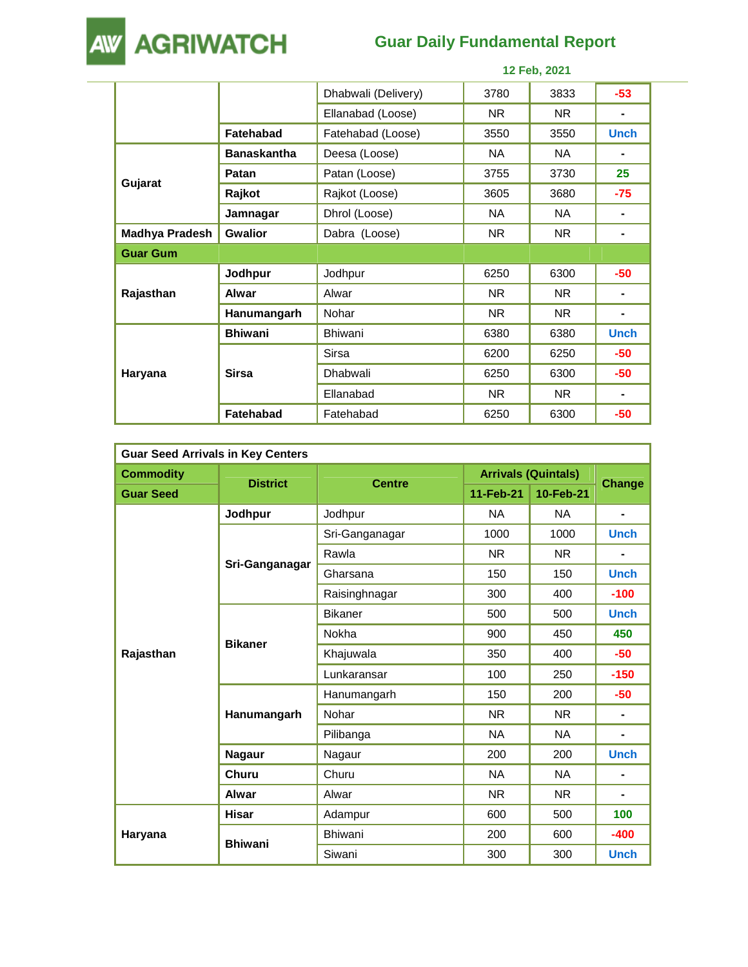

# **Guar Daily Fundamental Report**

|                       |                    | 12 Feb, 2021        |           |           |             |  |
|-----------------------|--------------------|---------------------|-----------|-----------|-------------|--|
|                       |                    | Dhabwali (Delivery) | 3780      | 3833      | $-53$       |  |
|                       |                    | Ellanabad (Loose)   | NR.       | NR.       | ۰           |  |
|                       | <b>Fatehabad</b>   | Fatehabad (Loose)   | 3550      | 3550      | <b>Unch</b> |  |
|                       | <b>Banaskantha</b> | Deesa (Loose)       | <b>NA</b> | NA.       |             |  |
|                       | Patan              | Patan (Loose)       | 3755      | 3730      | 25          |  |
| Gujarat               | Rajkot             | Rajkot (Loose)      | 3605      | 3680      | $-75$       |  |
|                       | Jamnagar           | Dhrol (Loose)       | NA        | NA.       | ۰           |  |
| <b>Madhya Pradesh</b> | <b>Gwalior</b>     | Dabra (Loose)       | <b>NR</b> | <b>NR</b> | ۰           |  |
| <b>Guar Gum</b>       |                    |                     |           |           |             |  |
|                       | Jodhpur            | Jodhpur             | 6250      | 6300      | $-50$       |  |
| Rajasthan             | <b>Alwar</b>       | Alwar               | NR.       | NR.       | ٠           |  |
|                       | Hanumangarh        | Nohar               | NR.       | NR.       | ۰           |  |
|                       | <b>Bhiwani</b>     | <b>Bhiwani</b>      | 6380      | 6380      | <b>Unch</b> |  |
|                       |                    | Sirsa               | 6200      | 6250      | $-50$       |  |
| Haryana               | <b>Sirsa</b>       | Dhabwali            | 6250      | 6300      | $-50$       |  |
|                       |                    | Ellanabad           | NR.       | <b>NR</b> | -           |  |
|                       | <b>Fatehabad</b>   | Fatehabad           | 6250      | 6300      | $-50$       |  |

| <b>Guar Seed Arrivals in Key Centers</b> |                 |                |                            |           |               |  |  |
|------------------------------------------|-----------------|----------------|----------------------------|-----------|---------------|--|--|
| <b>Commodity</b>                         |                 |                | <b>Arrivals (Quintals)</b> |           |               |  |  |
| <b>Guar Seed</b>                         | <b>District</b> | <b>Centre</b>  | 11-Feb-21                  | 10-Feb-21 | <b>Change</b> |  |  |
|                                          | Jodhpur         | Jodhpur        | <b>NA</b>                  | NA.       | ۰             |  |  |
|                                          |                 | Sri-Ganganagar | 1000                       | 1000      | <b>Unch</b>   |  |  |
|                                          |                 | Rawla          | <b>NR</b>                  | <b>NR</b> |               |  |  |
|                                          | Sri-Ganganagar  | Gharsana       | 150                        | 150       | <b>Unch</b>   |  |  |
|                                          |                 | Raisinghnagar  | 300                        | 400       | $-100$        |  |  |
|                                          | <b>Bikaner</b>  | <b>Bikaner</b> | 500                        | 500       | <b>Unch</b>   |  |  |
| Rajasthan                                |                 | Nokha          | 900                        | 450       | 450           |  |  |
|                                          |                 | Khajuwala      | 350                        | 400       | $-50$         |  |  |
|                                          |                 | Lunkaransar    | 100                        | 250       | $-150$        |  |  |
|                                          |                 | Hanumangarh    | 150                        | 200       | $-50$         |  |  |
|                                          | Hanumangarh     | Nohar          | <b>NR</b>                  | NR.       | ٠             |  |  |
|                                          |                 | Pilibanga      | <b>NA</b>                  | <b>NA</b> | ۰             |  |  |
|                                          | <b>Nagaur</b>   | Nagaur         | 200                        | 200       | <b>Unch</b>   |  |  |
|                                          | Churu           | Churu          | <b>NA</b>                  | <b>NA</b> |               |  |  |
|                                          | Alwar           | Alwar          | <b>NR</b>                  | <b>NR</b> |               |  |  |
|                                          | Hisar           | Adampur        | 600                        | 500       | 100           |  |  |
| Haryana                                  |                 | <b>Bhiwani</b> | 200                        | 600       | $-400$        |  |  |
|                                          | <b>Bhiwani</b>  | Siwani         | 300                        | 300       | <b>Unch</b>   |  |  |